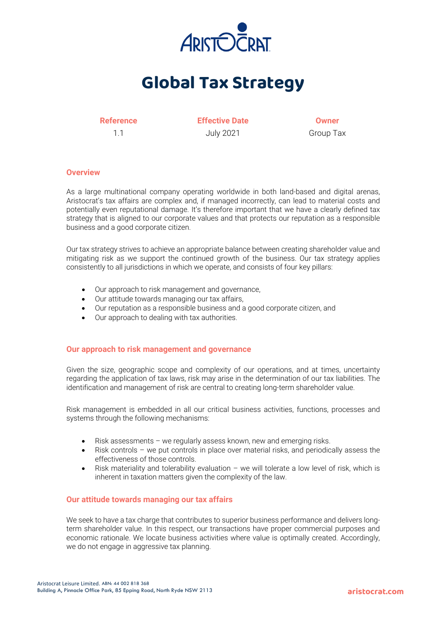

# **Global Tax Strategy**

**Reference Effective Date Owner** 1.1 July 2021 Group Tax

# **Overview**

As a large multinational company operating worldwide in both land-based and digital arenas, Aristocrat's tax affairs are complex and, if managed incorrectly, can lead to material costs and potentially even reputational damage. It's therefore important that we have a clearly defined tax strategy that is aligned to our corporate values and that protects our reputation as a responsible business and a good corporate citizen.

Our tax strategy strives to achieve an appropriate balance between creating shareholder value and mitigating risk as we support the continued growth of the business. Our tax strategy applies consistently to all jurisdictions in which we operate, and consists of four key pillars:

- Our approach to risk management and governance,
- Our attitude towards managing our tax affairs,
- Our reputation as a responsible business and a good corporate citizen, and
- Our approach to dealing with tax authorities.

# **Our approach to risk management and governance**

Given the size, geographic scope and complexity of our operations, and at times, uncertainty regarding the application of tax laws, risk may arise in the determination of our tax liabilities. The identification and management of risk are central to creating long-term shareholder value.

Risk management is embedded in all our critical business activities, functions, processes and systems through the following mechanisms:

- Risk assessments we regularly assess known, new and emerging risks.
- Risk controls we put controls in place over material risks, and periodically assess the effectiveness of those controls.
- Risk materiality and tolerability evaluation we will tolerate a low level of risk, which is inherent in taxation matters given the complexity of the law.

# **Our attitude towards managing our tax affairs**

We seek to have a tax charge that contributes to superior business performance and delivers longterm shareholder value. In this respect, our transactions have proper commercial purposes and economic rationale. We locate business activities where value is optimally created. Accordingly, we do not engage in aggressive tax planning.